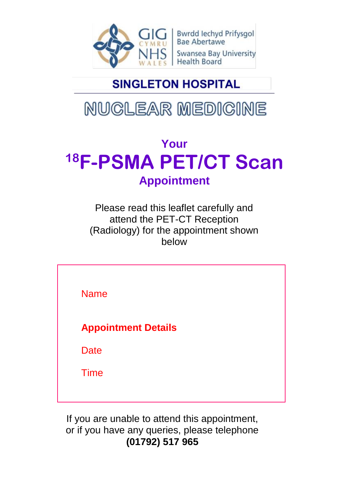

Bwrdd Iechyd Prifysgol<br>Bae Abertawe **Swansea Bay University Health Board** 

## **SINGLETON HOSPITAL**

# NUCLEAR MEDICINE

## **Your <sup>18</sup>F-PSMA PET/CT Scan Appointment**

Please read this leaflet carefully and attend the PET-CT Reception (Radiology) for the appointment shown below

Name **Appointment Details Date** Time

If you are unable to attend this appointment, or if you have any queries, please telephone **(01792) 517 965**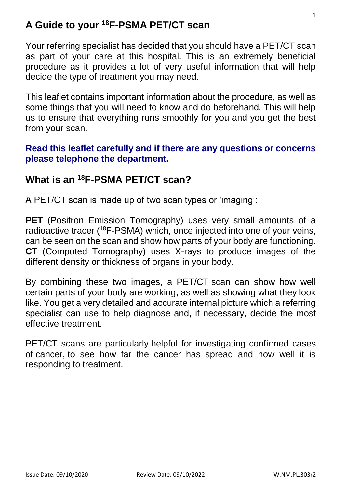#### **A Guide to your <sup>18</sup>F-PSMA PET/CT scan**

Your referring specialist has decided that you should have a PET/CT scan as part of your care at this hospital. This is an extremely beneficial procedure as it provides a lot of very useful information that will help decide the type of treatment you may need.

This leaflet contains important information about the procedure, as well as some things that you will need to know and do beforehand. This will help us to ensure that everything runs smoothly for you and you get the best from your scan.

#### **Read this leaflet carefully and if there are any questions or concerns please telephone the department.**

#### **What is an <sup>18</sup>F-PSMA PET/CT scan?**

A PET/CT scan is made up of two scan types or 'imaging':

**PET** (Positron Emission Tomography) uses very small amounts of a radioactive tracer ( <sup>18</sup>F-PSMA) which, once injected into one of your veins, can be seen on the scan and show how parts of your body are functioning. **CT** (Computed Tomography) uses X-rays to produce images of the different density or thickness of organs in your body.

By combining these two images, a PET/CT scan can show how well certain parts of your body are working, as well as showing what they look like. You get a very detailed and accurate internal picture which a referring specialist can use to help diagnose and, if necessary, decide the most effective treatment.

PET/CT scans are particularly helpful for investigating confirmed cases of [cancer,](https://www.nhs.uk/conditions/cancer/) to see how far the cancer has spread and how well it is responding to treatment.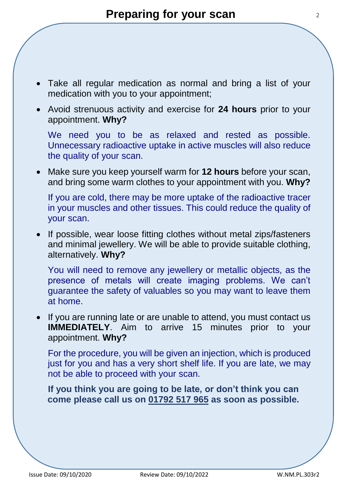- Take all regular medication as normal and bring a list of your medication with you to your appointment;
- Avoid strenuous activity and exercise for **24 hours** prior to your appointment. **Why?**

We need you to be as relaxed and rested as possible. Unnecessary radioactive uptake in active muscles will also reduce the quality of your scan.

 Make sure you keep yourself warm for **12 hours** before your scan, and bring some warm clothes to your appointment with you. **Why?**

If you are cold, there may be more uptake of the radioactive tracer in your muscles and other tissues. This could reduce the quality of your scan.

• If possible, wear loose fitting clothes without metal zips/fasteners and minimal jewellery. We will be able to provide suitable clothing, alternatively. **Why?**

You will need to remove any jewellery or metallic objects, as the presence of metals will create imaging problems. We can't guarantee the safety of valuables so you may want to leave them at home.

• If you are running late or are unable to attend, you must contact us **IMMEDIATELY.** Aim to arrive 15 minutes prior to your appointment. **Why?**

For the procedure, you will be given an injection, which is produced just for you and has a very short shelf life. If you are late, we may not be able to proceed with your scan.

**If you think you are going to be late, or don't think you can come please call us on 01792 517 965 as soon as possible.**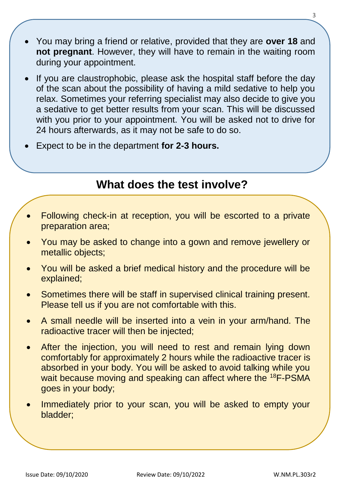- You may bring a friend or relative, provided that they are **over 18** and **not pregnant**. However, they will have to remain in the waiting room during your appointment.
- If you are claustrophobic, please ask the hospital staff before the day of the scan about the possibility of having a mild sedative to help you relax. Sometimes your referring specialist may also decide to give you a sedative to get better results from your scan. This will be discussed with you prior to your appointment. You will be asked not to drive for 24 hours afterwards, as it may not be safe to do so.
- Expect to be in the department **for 2-3 hours.**

#### **What does the test involve?**

- Following check-in at reception, you will be escorted to a private preparation area;
- You may be asked to change into a gown and remove jewellery or metallic objects;
- You will be asked a brief medical history and the procedure will be explained;
- Sometimes there will be staff in supervised clinical training present. Please tell us if you are not comfortable with this.
- A small needle will be inserted into a vein in your arm/hand. The radioactive tracer will then be injected;
- After the injection, you will need to rest and remain lying down comfortably for approximately 2 hours while the radioactive tracer is absorbed in your body. You will be asked to avoid talking while you wait because moving and speaking can affect where the <sup>18</sup>F-PSMA goes in your body;
- Immediately prior to your scan, you will be asked to empty your bladder;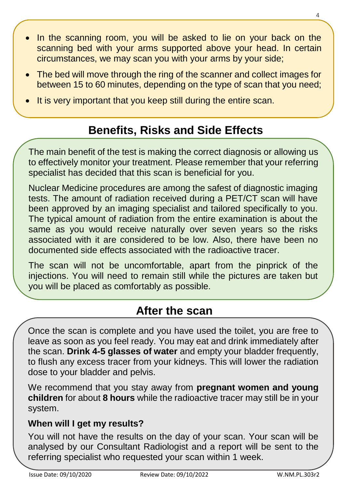- In the scanning room, you will be asked to lie on your back on the scanning bed with your arms supported above your head. In certain circumstances, we may scan you with your arms by your side;
- The bed will move through the ring of the scanner and collect images for between 15 to 60 minutes, depending on the type of scan that you need;
- It is very important that you keep still during the entire scan.

## **Benefits, Risks and Side Effects**

The main benefit of the test is making the correct diagnosis or allowing us to effectively monitor your treatment. Please remember that your referring specialist has decided that this scan is beneficial for you.

Nuclear Medicine procedures are among the safest of diagnostic imaging tests. The amount of radiation received during a PET/CT scan will have been approved by an imaging specialist and tailored specifically to you. The typical amount of radiation from the entire examination is about the same as you would receive naturally over seven years so the risks associated with it are considered to be low. Also, there have been no documented side effects associated with the radioactive tracer.

The scan will not be uncomfortable, apart from the pinprick of the injections. You will need to remain still while the pictures are taken but you will be placed as comfortably as possible.

### **After the scan**

Once the scan is complete and you have used the toilet, you are free to leave as soon as you feel ready. You may eat and drink immediately after the scan. **Drink 4-5 glasses of water** and empty your bladder frequently, to flush any excess tracer from your kidneys. This will lower the radiation dose to your bladder and pelvis.

We recommend that you stay away from **pregnant women and young children** for about **8 hours** while the radioactive tracer may still be in your system.

#### **When will I get my results?**

You will not have the results on the day of your scan. Your scan will be analysed by our Consultant Radiologist and a report will be sent to the referring specialist who requested your scan within 1 week.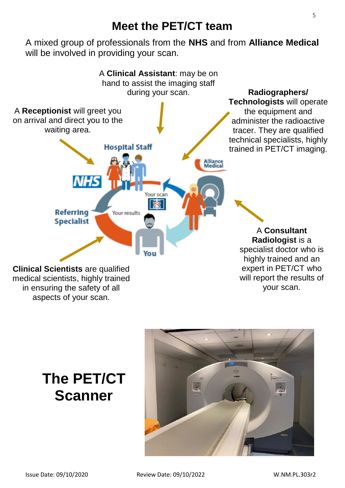#### **Meet the PET/CT team**

A mixed group of professionals from the **NHS** and from **Alliance Medical** will be involved in providing your scan.



## **The PET/CT Scanner**

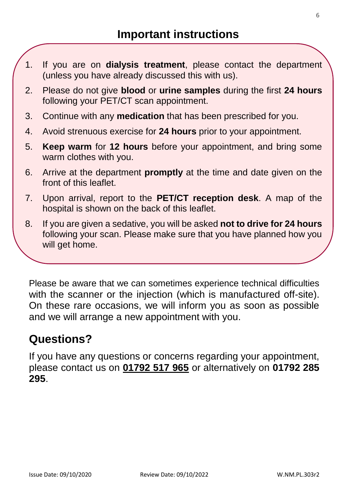- 1. If you are on **dialysis treatment**, please contact the department (unless you have already discussed this with us).
- 2. Please do not give **blood** or **urine samples** during the first **24 hours** following your PET/CT scan appointment.
- 3. Continue with any **medication** that has been prescribed for you.
- 4. Avoid strenuous exercise for **24 hours** prior to your appointment.
- 5. **Keep warm** for **12 hours** before your appointment, and bring some warm clothes with you.
- 6. Arrive at the department **promptly** at the time and date given on the front of this leaflet.
- 7. Upon arrival, report to the **PET/CT reception desk**. A map of the hospital is shown on the back of this leaflet.
- 8. If you are given a sedative, you will be asked **not to drive for 24 hours** following your scan. Please make sure that you have planned how you will get home.

9. If you **cannot** attend for your scan or if you have any questions about

Please be aware that we can sometimes experience technical difficulties with the scanner or the injection (which is manufactured off-site). On these rare occasions, we will inform you as soon as possible and we will arrange a new appointment with you.

### **Questions?**

If you have any questions or concerns regarding your appointment, please contact us on **01792 517 965** or alternatively on **01792 285 295**.